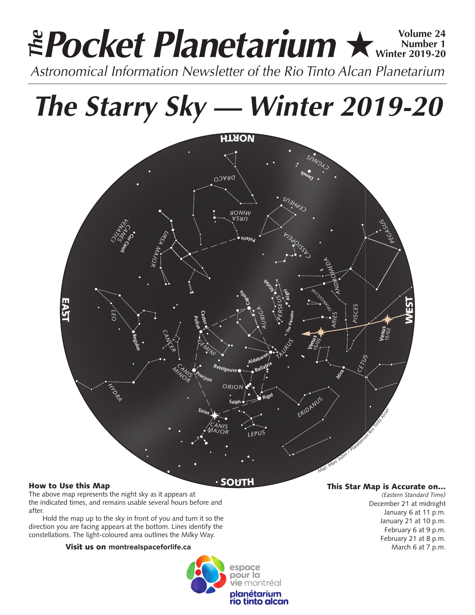# **Pocket Planetarium ★ Winter 2019-20 Number 1 Winter 2019-20 Astronomical Information Newsletter of the Rio Tinto Alcan Planetarium**<br>Astronomical Information Newsletter of the Rio Tinto Alcan Planetarium

*The Starry Sky — Winter 2019-20*



# How to Use this Map

The above map represents the night sky as it appears at the indicated times, and remains usable several hours before and after.

Hold the map up to the sky in front of you and turn it so the direction you are facing appears at the bottom. Lines identify the constellations. The light-coloured area outlines the Milky Way.

## Visit us on **montrealspaceforlife.ca**



## This Star Map is Accurate on…

*(Eastern Standard Time)* December 21 at midnight January 6 at 11 p.m. January 21 at 10 p.m. February 6 at 9 p.m. February 21 at 8 p.m. March 6 at 7 p.m.